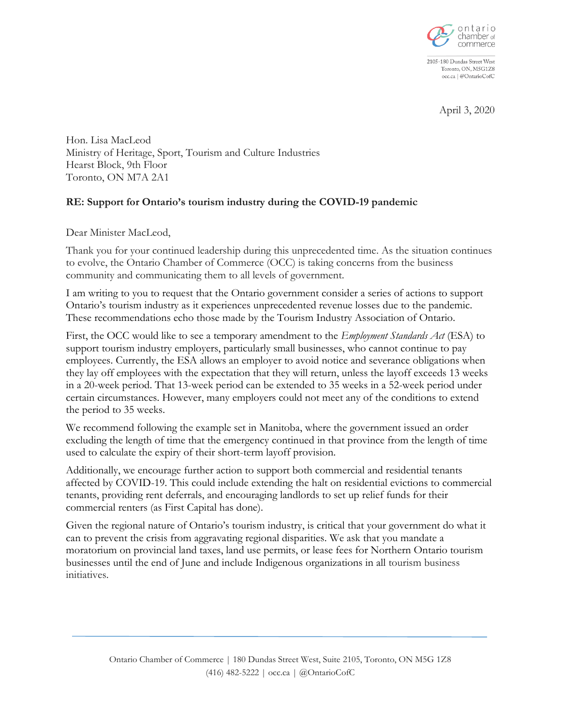

2105-180 Dundas Street West Toronto, ON, M5G1Z8 occ.ca | @OntarioCofC

April 3, 2020

Hon. Lisa MacLeod Ministry of Heritage, Sport, Tourism and Culture Industries Hearst Block, 9th Floor Toronto, ON M7A 2A1

## **RE: Support for Ontario's tourism industry during the COVID-19 pandemic**

Dear Minister MacLeod,

Thank you for your continued leadership during this unprecedented time. As the situation continues to evolve, the Ontario Chamber of Commerce (OCC) is taking concerns from the business community and communicating them to all levels of government.

I am writing to you to request that the Ontario government consider a series of actions to support Ontario's tourism industry as it experiences unprecedented revenue losses due to the pandemic. These recommendations echo those made by the Tourism Industry Association of Ontario.

First, the OCC would like to see a temporary amendment to the *Employment Standards Act* (ESA) to support tourism industry employers, particularly small businesses, who cannot continue to pay employees. Currently, the ESA allows an employer to avoid notice and severance obligations when they lay off employees with the expectation that they will return, unless the layoff exceeds 13 weeks in a 20-week period. That 13-week period can be extended to 35 weeks in a 52-week period under certain circumstances. However, many employers could not meet any of the conditions to extend the period to 35 weeks.

We recommend following the example set in Manitoba, where the government issued an order excluding the length of time that the emergency continued in that province from the length of time used to calculate the expiry of their short-term layoff provision.

Additionally, we encourage further action to support both commercial and residential tenants affected by COVID-19. This could include extending the halt on residential evictions to commercial tenants, providing rent deferrals, and encouraging landlords to set up relief funds for their commercial renters (as First Capital has done).

Given the regional nature of Ontario's tourism industry, is critical that your government do what it can to prevent the crisis from aggravating regional disparities. We ask that you mandate a moratorium on provincial land taxes, land use permits, or lease fees for Northern Ontario tourism businesses until the end of June and include Indigenous organizations in all tourism business initiatives.